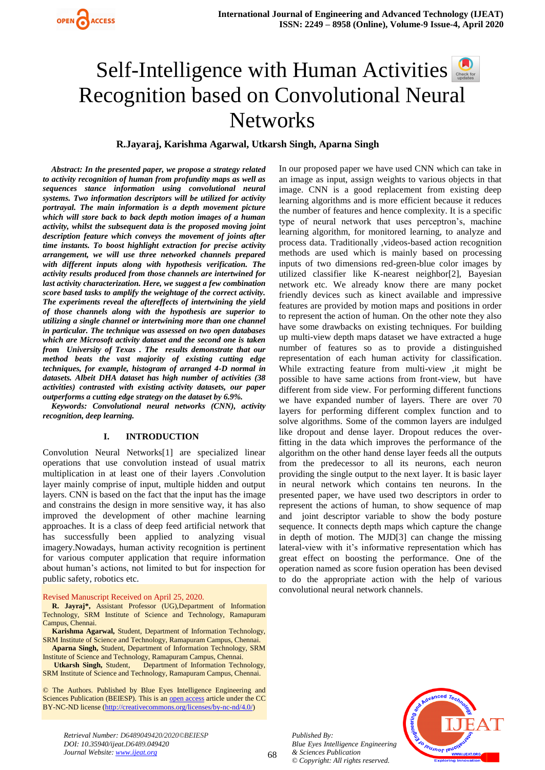# Self-Intelligencewith Human Activities Recognition based on Convolutional Neural **Networks**

**R.Jayaraj, Karishma Agarwal, Utkarsh Singh, Aparna Singh**

*Abstract: In the presented paper, we propose a strategy related to activity recognition of human from profundity maps as well as sequences stance information using convolutional neural systems. Two information descriptors will be utilized for activity portrayal. The main information is a depth movement picture which will store back to back depth motion images of a human activity, whilst the subsequent data is the proposed moving joint description feature which conveys the movement of joints after time instants. To boost highlight extraction for precise activity arrangement, we will use three networked channels prepared with different inputs along with hypothesis verification. The activity results produced from those channels are intertwined for last activity characterization. Here, we suggest a few combination score based tasks to amplify the weightage of the correct activity. The experiments reveal the aftereffects of intertwining the yield of those channels along with the hypothesis are superior to utilizing a single channel or intertwining more than one channel in particular. The technique was assessed on two open databases which are Microsoft activity dataset and the second one is taken from University of Texas . The results demonstrate that our method beats the vast majority of existing cutting edge techniques, for example, histogram of arranged 4-D normal in datasets. Albeit DHA dataset has high number of activities (38 activities) contrasted with existing activity datasets, our paper outperforms a cutting edge strategy on the dataset by 6.9%.*

*Keywords: Convolutional neural networks (CNN), activity recognition, deep learning.*

# **I. INTRODUCTION**

Convolution Neural Networks[1] are specialized linear operations that use convolution instead of usual matrix multiplication in at least one of their layers .Convolution layer mainly comprise of input, multiple hidden and output layers. CNN is based on the fact that the input has the image and constrains the design in more sensitive way, it has also improved the development of other machine learning approaches. It is a class of deep feed artificial network that has successfully been applied to analyzing visual imagery.Nowadays, human activity recognition is pertinent for various computer application that require information about human's actions, not limited to but for inspection for public safety, robotics etc.

Revised Manuscript Received on April 25, 2020.

**R. Jayraj\*,** Assistant Professor (UG),Department of Information Technology, SRM Institute of Science and Technology, Ramapuram Campus, Chennai.

**Karishma Agarwal,** Student, Department of Information Technology, SRM Institute of Science and Technology, Ramapuram Campus, Chennai.

**Aparna Singh,** Student, Department of Information Technology, SRM Institute of Science and Technology, Ramapuram Campus, Chennai.

**Utkarsh Singh,** Student, Department of Information Technology, SRM Institute of Science and Technology, Ramapuram Campus, Chennai.

© The Authors. Published by Blue Eyes Intelligence Engineering and Sciences Publication (BEIESP). This is a[n open access](https://www.openaccess.nl/en/open-publications) article under the CC BY-NC-ND license [\(http://creativecommons.org/licenses/by-nc-nd/4.0/\)](http://creativecommons.org/licenses/by-nc-nd/4.0/)

*Retrieval Number: D6489049420/2020©BEIESP DOI: 10.35940/ijeat.D6489.049420 Journal Website: www.ijeat.org*

In our proposed paper we have used CNN which can take in an image as input, assign weights to various objects in that image. CNN is a good replacement from existing deep learning algorithms and is more efficient because it reduces the number of features and hence complexity. It is a specific type of neural network that uses perceptron's, machine learning algorithm, for monitored learning, to analyze and process data. Traditionally ,videos-based action recognition methods are used which is mainly based on processing inputs of two dimensions red-green-blue color images by utilized classifier like K-nearest neighbor[2], Bayesian network etc. We already know there are many pocket friendly devices such as kinect available and impressive features are provided by motion maps and positions in order to represent the action of human. On the other note they also have some drawbacks on existing techniques. For building up multi-view depth maps dataset we have extracted a huge number of features so as to provide a distinguished representation of each human activity for classification. While extracting feature from multi-view ,it might be possible to have same actions from front-view, but have different from side view. For performing different functions we have expanded number of layers. There are over 70 layers for performing different complex function and to solve algorithms. Some of the common layers are indulged like dropout and dense layer. Dropout reduces the overfitting in the data which improves the performance of the algorithm on the other hand dense layer feeds all the outputs from the predecessor to all its neurons, each neuron providing the single output to the next layer. It is basic layer in neural network which contains ten neurons. In the presented paper, we have used two descriptors in order to represent the actions of human, to show sequence of map and joint descriptor variable to show the body posture sequence. It connects depth maps which capture the change in depth of motion. The MJD[3] can change the missing lateral-view with it's informative representation which has great effect on boosting the performance. One of the operation named as score fusion operation has been devised to do the appropriate action with the help of various convolutional neural network channels.



*Published By:*

*& Sciences Publication © Copyright: All rights reserved.*

*Blue Eyes Intelligence Engineering*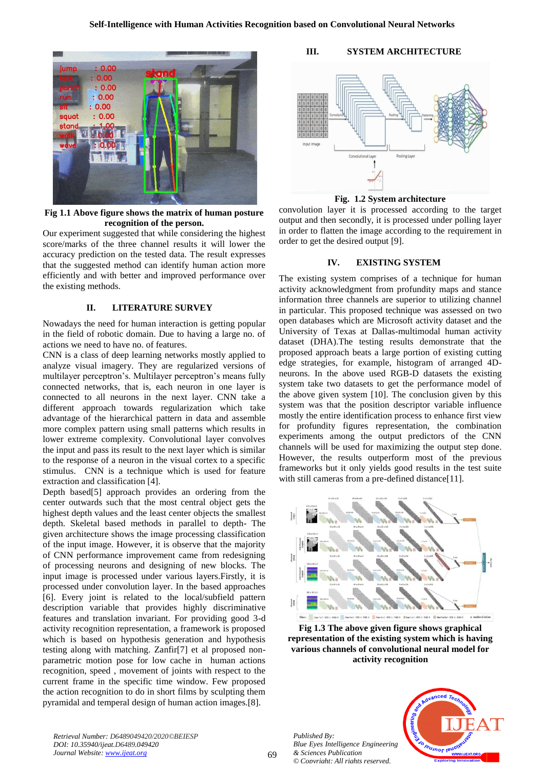

**Fig 1.1 Above figure shows the matrix of human posture recognition of the person.**

Our experiment suggested that while considering the highest score/marks of the three channel results it will lower the accuracy prediction on the tested data. The result expresses that the suggested method can identify human action more efficiently and with better and improved performance over the existing methods.

#### **II. LITERATURE SURVEY**

Nowadays the need for human interaction is getting popular in the field of robotic domain. Due to having a large no. of actions we need to have no. of features.

CNN is a class of deep learning networks mostly applied to analyze visual imagery. They are regularized versions of multilayer perceptron's. Multilayer perceptron's means fully connected networks, that is, each neuron in one layer is connected to all neurons in the next layer. CNN take a different approach towards regularization which take advantage of the hierarchical pattern in data and assemble more complex pattern using small patterns which results in lower extreme complexity. Convolutional layer convolves the input and pass its result to the next layer which is similar to the response of a neuron in the visual cortex to a specific stimulus. CNN is a technique which is used for feature extraction and classification [4].

Depth based[5] approach provides an ordering from the center outwards such that the most central object gets the highest depth values and the least center objects the smallest depth. Skeletal based methods in parallel to depth- The given architecture shows the image processing classification of the input image. However, it is observe that the majority of CNN performance improvement came from redesigning of processing neurons and designing of new blocks. The input image is processed under various layers.Firstly, it is processed under convolution layer. In the based approaches [6]. Every joint is related to the local/subfield pattern description variable that provides highly discriminative features and translation invariant. For providing good 3-d activity recognition representation, a framework is proposed which is based on hypothesis generation and hypothesis testing along with matching. Zanfir[7] et al proposed nonparametric motion pose for low cache in human actions recognition, speed , movement of joints with respect to the current frame in the specific time window. Few proposed the action recognition to do in short films by sculpting them pyramidal and temperal design of human action images.[8].

# **III. SYSTEM ARCHITECTURE**



**Fig. 1.2 System architecture**

convolution layer it is processed according to the target output and then secondly, it is processed under polling layer in order to flatten the image according to the requirement in order to get the desired output [9].

# **IV. EXISTING SYSTEM**

The existing system comprises of a technique for human activity acknowledgment from profundity maps and stance information three channels are superior to utilizing channel in particular. This proposed technique was assessed on two open databases which are Microsoft activity dataset and the University of Texas at Dallas-multimodal human activity dataset (DHA).The testing results demonstrate that the proposed approach beats a large portion of existing cutting edge strategies, for example, histogram of arranged 4Dneurons. In the above used RGB-D datasets the existing system take two datasets to get the performance model of the above given system [10]. The conclusion given by this system was that the position descriptor variable influence mostly the entire identification process to enhance first view for profundity figures representation, the combination experiments among the output predictors of the CNN channels will be used for maximizing the output step done. However, the results outperform most of the previous frameworks but it only yields good results in the test suite with still cameras from a pre-defined distance[11].



**Fig 1.3 The above given figure shows graphical representation of the existing system which is having various channels of convolutional neural model for activity recognition**

*Published By: Blue Eyes Intelligence Engineering & Sciences Publication © Copyright: All rights reserved.*



*Retrieval Number: D6489049420/2020©BEIESP DOI: 10.35940/ijeat.D6489.049420 Journal Website: www.ijeat.org*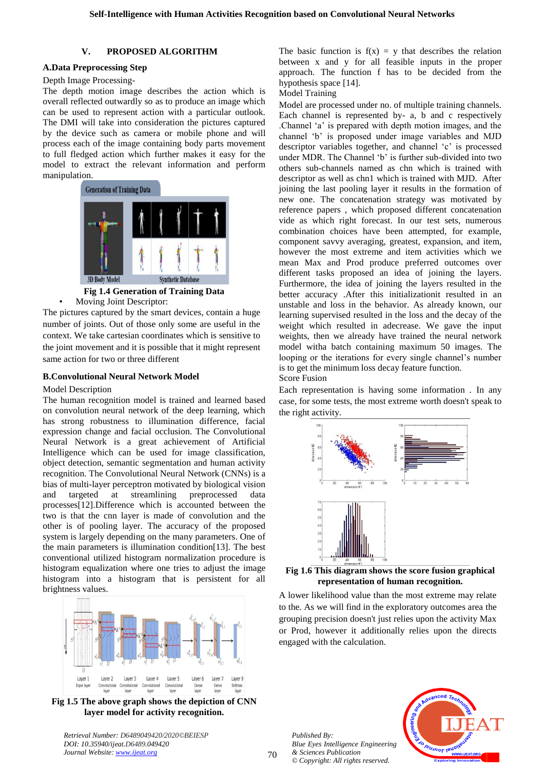## **V. PROPOSED ALGORITHM**

# **A.Data Preprocessing Step**

# Depth Image Processing-

The depth motion image describes the action which is overall reflected outwardly so as to produce an image which can be used to represent action with a particular outlook. The DMI will take into consideration the pictures captured by the device such as camera or mobile phone and will process each of the image containing body parts movement to full fledged action which further makes it easy for the model to extract the relevant information and perform manipulation.



**Fig 1.4 Generation of Training Data**

• Moving Joint Descriptor:

The pictures captured by the smart devices, contain a huge number of joints. Out of those only some are useful in the context. We take cartesian coordinates which is sensitive to the joint movement and it is possible that it might represent same action for two or three different

# **B.Convolutional Neural Network Model**

#### Model Description

The human recognition model is trained and learned based on convolution neural network of the deep learning, which has strong robustness to illumination difference, facial expression change and facial occlusion. The Convolutional Neural Network is a great achievement of Artificial Intelligence which can be used for image classification, object detection, semantic segmentation and human activity recognition. The Convolutional Neural Network (CNNs) is a bias of multi-layer perceptron motivated by biological vision and targeted at streamlining preprocessed data processes[12].Difference which is accounted between the two is that the cnn layer is made of convolution and the other is of pooling layer. The accuracy of the proposed system is largely depending on the many parameters. One of the main parameters is illumination condition[13]. The best conventional utilized histogram normalization procedure is histogram equalization where one tries to adjust the image histogram into a histogram that is persistent for all brightness values.



**Fig 1.5 The above graph shows the depiction of CNN layer model for activity recognition.**

*Retrieval Number: D6489049420/2020©BEIESP DOI: 10.35940/ijeat.D6489.049420 Journal Website: www.ijeat.org*

The basic function is  $f(x) = y$  that describes the relation between x and y for all feasible inputs in the proper approach. The function f has to be decided from the hypothesis space [14].

Model Training

Model are processed under no. of multiple training channels. Each channel is represented by- a, b and c respectively .Channel 'a' is prepared with depth motion images, and the channel 'b' is proposed under image variables and MJD descriptor variables together, and channel 'c' is processed under MDR. The Channel 'b' is further sub-divided into two others sub-channels named as chn which is trained with descriptor as well as chn1 which is trained with MJD. After joining the last pooling layer it results in the formation of new one. The concatenation strategy was motivated by reference papers , which proposed different concatenation vide as which right forecast. In our test sets, numerous combination choices have been attempted, for example, component savvy averaging, greatest, expansion, and item, however the most extreme and item activities which we mean Max and Prod produce preferred outcomes over different tasks proposed an idea of joining the layers. Furthermore, the idea of joining the layers resulted in the better accuracy .After this initializationit resulted in an unstable and loss in the behavior. As already known, our learning supervised resulted in the loss and the decay of the weight which resulted in adecrease. We gave the input weights, then we already have trained the neural network model witha batch containing maximum 50 images. The looping or the iterations for every single channel's number is to get the minimum loss decay feature function. Score Fusion

Each representation is having some information . In any case, for some tests, the most extreme worth doesn't speak to the right activity.





A lower likelihood value than the most extreme may relate to the. As we will find in the exploratory outcomes area the grouping precision doesn't just relies upon the activity Max or Prod, however it additionally relies upon the directs engaged with the calculation.

*Published By: Blue Eyes Intelligence Engineering & Sciences Publication © Copyright: All rights reserved.*

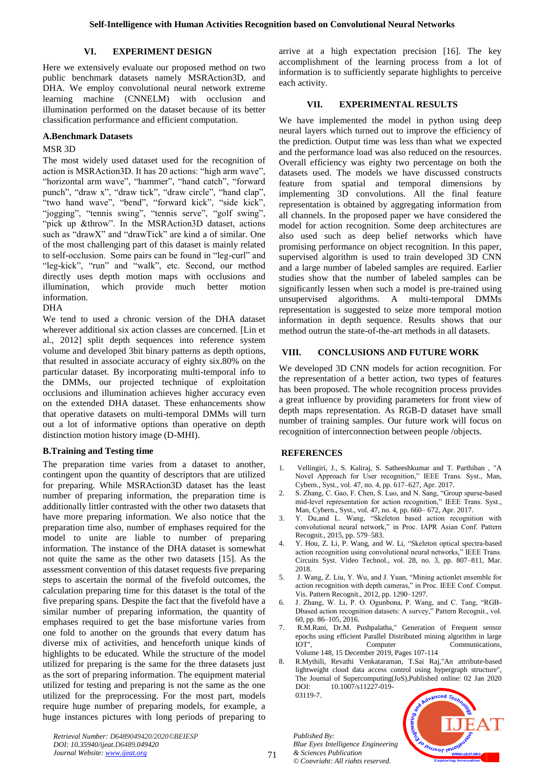# **VI. EXPERIMENT DESIGN**

Here we extensively evaluate our proposed method on two public benchmark datasets namely MSRAction3D, and DHA. We employ convolutional neural network extreme learning machine (CNNELM) with occlusion and illumination performed on the dataset because of its better classification performance and efficient computation.

## **A.Benchmark Datasets**

## MSR 3D

The most widely used dataset used for the recognition of action is MSRAction3D. It has 20 actions: "high arm wave", "horizontal arm wave", "hammer", "hand catch", "forward punch", "draw x", "draw tick", "draw circle", "hand clap", "two hand wave", "bend", "forward kick", "side kick", "jogging", "tennis swing", "tennis serve", "golf swing", "pick up &throw". In the MSRAction3D dataset, actions such as "drawX" and "drawTick" are kind a of similar. One of the most challenging part of this dataset is mainly related to self-occlusion. Some pairs can be found in "leg-curl" and "leg-kick", "run" and "walk", etc. Second, our method directly uses depth motion maps with occlusions and illumination, which provide much better motion information.

# DHA

We tend to used a chronic version of the DHA dataset wherever additional six action classes are concerned. [Lin et al., 2012] split depth sequences into reference system volume and developed 3bit binary patterns as depth options, that resulted in associate accuracy of eighty six.80% on the particular dataset. By incorporating multi-temporal info to the DMMs, our projected technique of exploitation occlusions and illumination achieves higher accuracy even on the extended DHA dataset. These enhancements show that operative datasets on multi-temporal DMMs will turn out a lot of informative options than operative on depth distinction motion history image (D-MHI).

# **B.Training and Testing time**

The preparation time varies from a dataset to another, contingent upon the quantity of descriptors that are utilized for preparing. While MSRAction3D dataset has the least number of preparing information, the preparation time is additionally littler contrasted with the other two datasets that have more preparing information. We also notice that the preparation time also, number of emphases required for the model to unite are liable to number of preparing information. The instance of the DHA dataset is somewhat not quite the same as the other two datasets [15]. As the assessment convention of this dataset requests five preparing steps to ascertain the normal of the fivefold outcomes, the calculation preparing time for this dataset is the total of the five preparing spans. Despite the fact that the fivefold have a similar number of preparing information, the quantity of emphases required to get the base misfortune varies from one fold to another on the grounds that every datum has diverse mix of activities, and henceforth unique kinds of highlights to be educated. While the structure of the model utilized for preparing is the same for the three datasets just as the sort of preparing information. The equipment material utilized for testing and preparing is not the same as the one utilized for the preprocessing. For the most part, models require huge number of preparing models, for example, a huge instances pictures with long periods of preparing to

arrive at a high expectation precision [16]. The key accomplishment of the learning process from a lot of information is to sufficiently separate highlights to perceive each activity.

# **VII. EXPERIMENTAL RESULTS**

We have implemented the model in python using deep neural layers which turned out to improve the efficiency of the prediction. Output time was less than what we expected and the performance load was also reduced on the resources. Overall efficiency was eighty two percentage on both the datasets used. The models we have discussed constructs feature from spatial and temporal dimensions by implementing 3D convolutions. All the final feature representation is obtained by aggregating information from all channels. In the proposed paper we have considered the model for action recognition. Some deep architectures are also used such as deep belief networks which have promising performance on object recognition. In this paper, supervised algorithm is used to train developed 3D CNN and a large number of labeled samples are required. Earlier studies show that the number of labeled samples can be significantly lessen when such a model is pre-trained using unsupervised algorithms. A multi-temporal DMMs representation is suggested to seize more temporal motion information in depth sequence. Results shows that our method outrun the state-of-the-art methods in all datasets.

# **VIII. CONCLUSIONS AND FUTURE WORK**

We developed 3D CNN models for action recognition. For the representation of a better action, two types of features has been proposed. The whole recognition process provides a great influence by providing parameters for front view of depth maps representation. As RGB-D dataset have small number of training samples. Our future work will focus on recognition of interconnection between people /objects.

# **REFERENCES**

- 1. Vellingiri, J., S. Kaliraj, S. Satheeshkumar and T. Parthiban , "A Novel Approach for User recognition," IEEE Trans. Syst., Man, Cybern., Syst., vol. 47, no. 4, pp. 617–627, Apr. 2017.
- 2. S. Zhang, C. Gao, F. Chen, S. Luo, and N. Sang, "Group sparse-based mid-level representation for action recognition," IEEE Trans. Syst., Man, Cybern., Syst., vol. 47, no. 4, pp. 660– 672, Apr. 2017.
- 3. Y. Du,and L. Wang, "Skeleton based action recognition with convolutional neural network," in Proc. IAPR Asian Conf. Pattern Recognit., 2015, pp. 579–583.
- 4. Y. Hou, Z. Li, P. Wang, and W. Li, "Skeleton optical spectra-based action recognition using convolutional neural networks," IEEE Trans. Circuits Syst. Video Technol., vol. 28, no. 3, pp. 807–811, Mar. 2018.
- 5. J. Wang, Z. Liu, Y. Wu, and J. Yuan, "Mining actionlet ensemble for action recognition with depth cameras," in Proc. IEEE Conf. Comput. Vis. Pattern Recognit., 2012, pp. 1290–1297.
- 6. J. Zhang, W. Li, P. O. Ogunbona, P. Wang, and C. Tang, "RGB-Dbased action recognition datasets: A survey," Pattern Recognit., vol. 60, pp. 86–105, 2016.
- 7. R.M.Rani, Dr.M. Pushpalatha," Generation of Frequent sensor epochs using efficient Parallel Distributed mining algorithm in large IOT", Computer Communications, Volume 148, 15 December 2019, Pages 107-114
- 8. R.Mythili, Revathi Venkataraman, T.Sai Raj,"An attribute-based lightweight cloud data access control using hypergraph structure", The Journal of Supercomputing(JoS),Published online: 02 Jan 2020 DOI: 10.1007/s11227-019- 03119-7.

*Published By: Blue Eyes Intelligence Engineering & Sciences Publication © Copyright: All rights reserved.*



*Retrieval Number: D6489049420/2020©BEIESP DOI: 10.35940/ijeat.D6489.049420 Journal Website: www.ijeat.org*